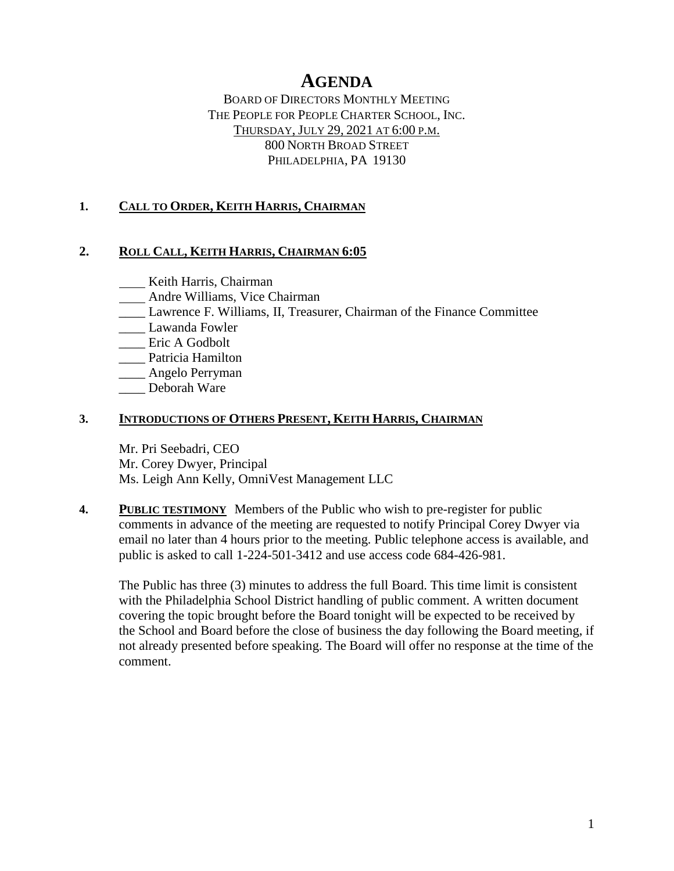# **AGENDA**

BOARD OF DIRECTORS MONTHLY MEETING THE PEOPLE FOR PEOPLE CHARTER SCHOOL, INC. THURSDAY, JULY 29, 2021 AT 6:00 P.M. 800 NORTH BROAD STREET PHILADELPHIA, PA 19130

### **1. CALL TO ORDER, KEITH HARRIS, CHAIRMAN**

#### **2. ROLL CALL, KEITH HARRIS, CHAIRMAN 6:05**

**Keith Harris**, Chairman

- Andre Williams, Vice Chairman
- \_\_\_\_ Lawrence F. Williams, II, Treasurer, Chairman of the Finance Committee
- \_\_\_\_ Lawanda Fowler
- \_\_\_\_ Eric A Godbolt
- \_\_\_\_ Patricia Hamilton
- \_\_\_\_ Angelo Perryman
- \_\_\_\_ Deborah Ware

#### **3. INTRODUCTIONS OF OTHERS PRESENT, KEITH HARRIS, CHAIRMAN**

Mr. Pri Seebadri, CEO Mr. Corey Dwyer, Principal Ms. Leigh Ann Kelly, OmniVest Management LLC

**4. PUBLIC TESTIMONY** Members of the Public who wish to pre-register for public comments in advance of the meeting are requested to notify Principal Corey Dwyer via email no later than 4 hours prior to the meeting. Public telephone access is available, and public is asked to call 1-224-501-3412 and use access code 684-426-981.

The Public has three (3) minutes to address the full Board. This time limit is consistent with the Philadelphia School District handling of public comment. A written document covering the topic brought before the Board tonight will be expected to be received by the School and Board before the close of business the day following the Board meeting, if not already presented before speaking. The Board will offer no response at the time of the comment.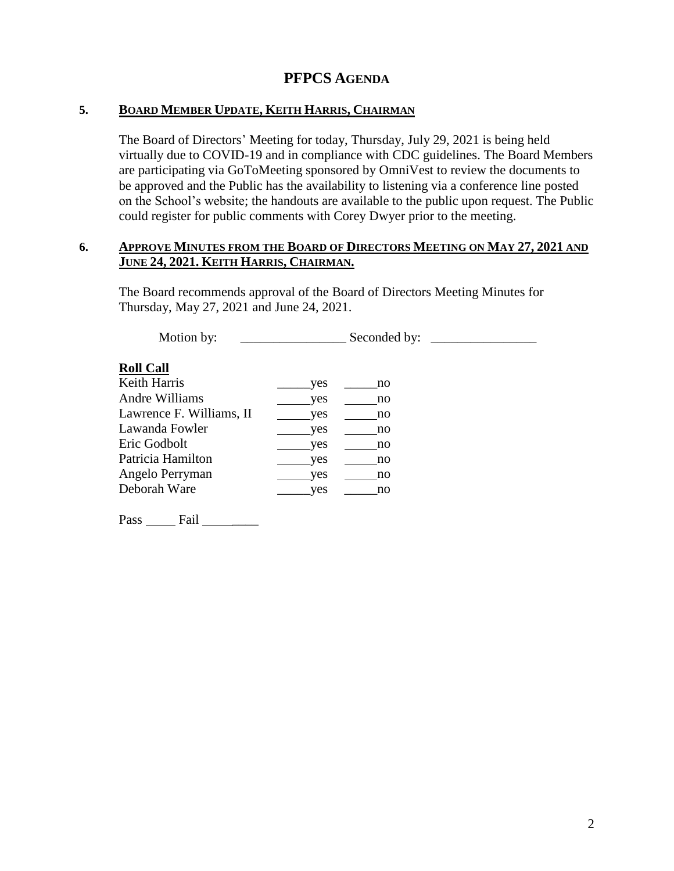## **PFPCS AGENDA**

#### **5. BOARD MEMBER UPDATE, KEITH HARRIS, CHAIRMAN**

The Board of Directors' Meeting for today, Thursday, July 29, 2021 is being held virtually due to COVID-19 and in compliance with CDC guidelines. The Board Members are participating via GoToMeeting sponsored by OmniVest to review the documents to be approved and the Public has the availability to listening via a conference line posted on the School's website; the handouts are available to the public upon request. The Public could register for public comments with Corey Dwyer prior to the meeting.

#### **6. APPROVE MINUTES FROM THE BOARD OF DIRECTORS MEETING ON MAY 27, 2021 AND JUNE 24, 2021. KEITH HARRIS, CHAIRMAN.**

The Board recommends approval of the Board of Directors Meeting Minutes for Thursday, May 27, 2021 and June 24, 2021.

Motion by: \_\_\_\_\_\_\_\_\_\_\_\_\_\_\_\_ Seconded by: \_\_\_\_\_\_\_\_\_\_\_\_\_\_\_\_ **Roll Call** Keith Harris \_\_\_\_\_\_\_\_\_yes \_\_\_\_\_\_no Andre Williams yes no Lawrence F. Williams, II yes no Lawanda Fowler yes no Eric Godbolt yes no Patricia Hamilton yes no Angelo Perryman yes no Deborah Ware \_\_\_\_\_yes \_\_\_\_\_no

Pass Fail \_\_\_\_\_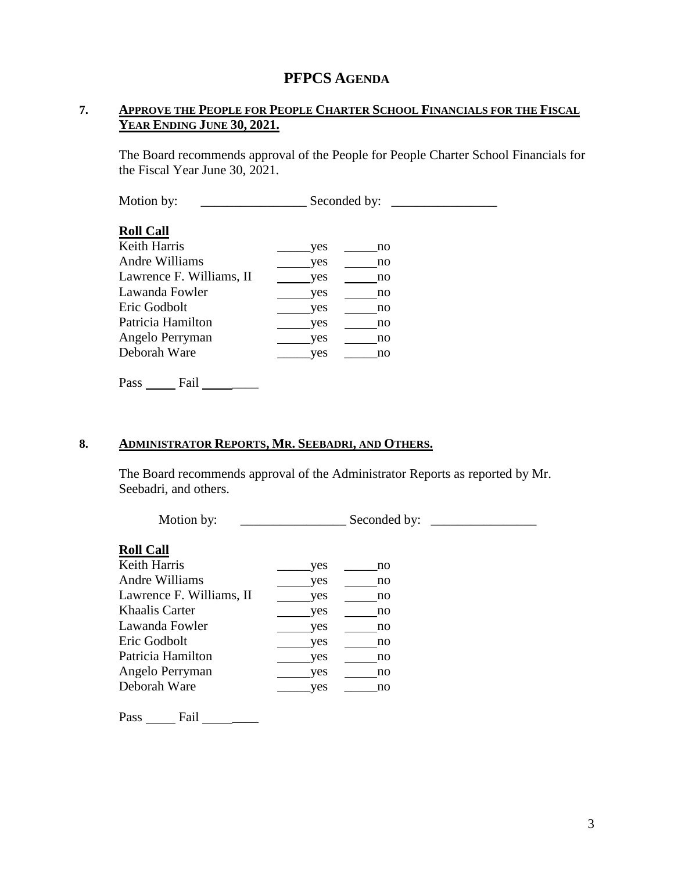## **PFPCS AGENDA**

### **7. APPROVE THE PEOPLE FOR PEOPLE CHARTER SCHOOL FINANCIALS FOR THE FISCAL YEAR ENDING JUNE 30, 2021.**

The Board recommends approval of the People for People Charter School Financials for the Fiscal Year June 30, 2021.

Motion by: \_\_\_\_\_\_\_\_\_\_\_\_\_\_\_\_ Seconded by: \_\_\_\_\_\_\_\_\_\_\_\_\_\_\_\_

#### **Roll Call**

| Keith Harris             | yes | no |
|--------------------------|-----|----|
| Andre Williams           | yes | no |
| Lawrence F. Williams, II | yes | no |
| Lawanda Fowler           | yes | no |
| Eric Godbolt             | yes | no |
| Patricia Hamilton        | yes | no |
| Angelo Perryman          | yes | no |
| Deborah Ware             | ves | no |
|                          |     |    |

Pass \_\_\_\_\_\_\_ Fail \_\_\_\_\_\_\_\_\_\_

### **8. ADMINISTRATOR REPORTS, MR. SEEBADRI, AND OTHERS.**

The Board recommends approval of the Administrator Reports as reported by Mr. Seebadri, and others.

| Motion by:               |     | Seconded by: |  |
|--------------------------|-----|--------------|--|
| <b>Roll Call</b>         |     |              |  |
| <b>Keith Harris</b>      | yes | no           |  |
| Andre Williams           | yes | no           |  |
| Lawrence F. Williams, II | yes | no           |  |
| Khaalis Carter           | yes | no           |  |
| Lawanda Fowler           | yes | no           |  |
| Eric Godbolt             | yes | no           |  |
| Patricia Hamilton        | yes | no           |  |
| Angelo Perryman          | yes | no           |  |
| Deborah Ware             | yes | no           |  |
|                          |     |              |  |

Pass \_\_\_\_\_\_\_ Fail \_\_\_\_\_\_\_\_\_\_\_\_